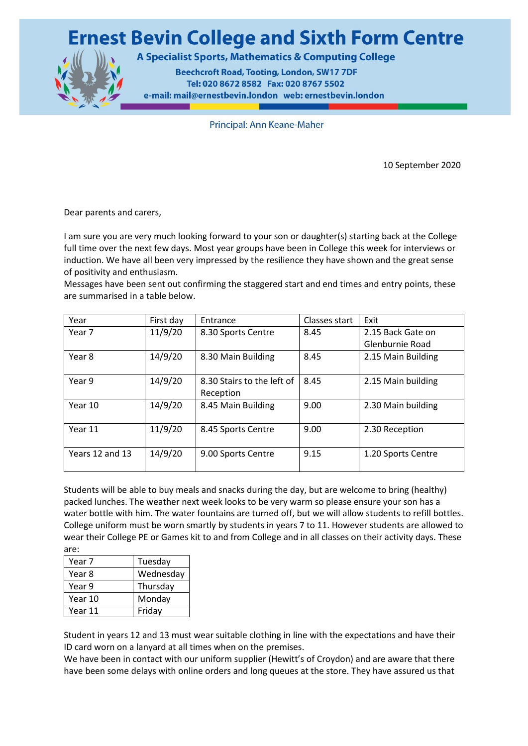

A Specialist Sports, Mathematics & Computing College

**Beechcroft Road, Tooting, London, SW17 7DF** Tel: 020 8672 8582 Fax: 020 8767 5502 e-mail: mail@ernestbevin.london web: ernestbevin.london

Principal: Ann Keane-Maher

10 September 2020

Dear parents and carers,

I am sure you are very much looking forward to your son or daughter(s) starting back at the College full time over the next few days. Most year groups have been in College this week for interviews or induction. We have all been very impressed by the resilience they have shown and the great sense of positivity and enthusiasm.

Messages have been sent out confirming the staggered start and end times and entry points, these are summarised in a table below.

| Year            | First day | Entrance                   | Classes start | Exit               |
|-----------------|-----------|----------------------------|---------------|--------------------|
| Year 7          | 11/9/20   | 8.30 Sports Centre         | 8.45          | 2.15 Back Gate on  |
|                 |           |                            |               | Glenburnie Road    |
| Year 8          | 14/9/20   | 8.30 Main Building         | 8.45          | 2.15 Main Building |
|                 |           |                            |               |                    |
| Year 9          | 14/9/20   | 8.30 Stairs to the left of | 8.45          | 2.15 Main building |
|                 |           | Reception                  |               |                    |
| Year 10         | 14/9/20   | 8.45 Main Building         | 9.00          | 2.30 Main building |
|                 |           |                            |               |                    |
| Year 11         | 11/9/20   | 8.45 Sports Centre         | 9.00          | 2.30 Reception     |
|                 |           |                            |               |                    |
| Years 12 and 13 | 14/9/20   | 9.00 Sports Centre         | 9.15          | 1.20 Sports Centre |
|                 |           |                            |               |                    |

Students will be able to buy meals and snacks during the day, but are welcome to bring (healthy) packed lunches. The weather next week looks to be very warm so please ensure your son has a water bottle with him. The water fountains are turned off, but we will allow students to refill bottles. College uniform must be worn smartly by students in years 7 to 11. However students are allowed to wear their College PE or Games kit to and from College and in all classes on their activity days. These are:

| Year 7  | Tuesday   |  |
|---------|-----------|--|
| Year 8  | Wednesday |  |
| Year 9  | Thursday  |  |
| Year 10 | Monday    |  |
| Year 11 | Friday    |  |

Student in years 12 and 13 must wear suitable clothing in line with the expectations and have their ID card worn on a lanyard at all times when on the premises.

We have been in contact with our uniform supplier (Hewitt's of Croydon) and are aware that there have been some delays with online orders and long queues at the store. They have assured us that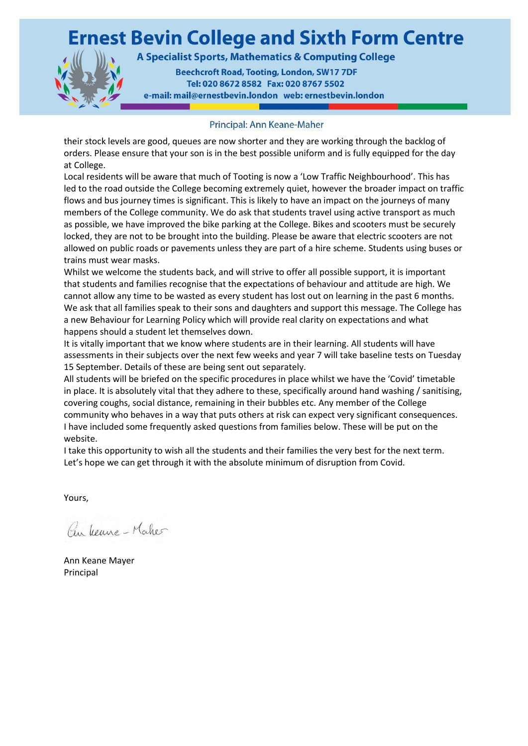

A Specialist Sports, Mathematics & Computing College

**Beechcroft Road, Tooting, London, SW17 7DF** Tel: 020 8672 8582 Fax: 020 8767 5502 e-mail: mail@ernestbevin.london web: ernestbevin.london

#### Principal: Ann Keane-Maher

their stock levels are good, queues are now shorter and they are working through the backlog of orders. Please ensure that your son is in the best possible uniform and is fully equipped for the day at College.

Local residents will be aware that much of Tooting is now a 'Low Traffic Neighbourhood'. This has led to the road outside the College becoming extremely quiet, however the broader impact on traffic flows and bus journey times is significant. This is likely to have an impact on the journeys of many members of the College community. We do ask that students travel using active transport as much as possible, we have improved the bike parking at the College. Bikes and scooters must be securely locked, they are not to be brought into the building. Please be aware that electric scooters are not allowed on public roads or pavements unless they are part of a hire scheme. Students using buses or trains must wear masks.

Whilst we welcome the students back, and will strive to offer all possible support, it is important that students and families recognise that the expectations of behaviour and attitude are high. We cannot allow any time to be wasted as every student has lost out on learning in the past 6 months. We ask that all families speak to their sons and daughters and support this message. The College has a new Behaviour for Learning Policy which will provide real clarity on expectations and what happens should a student let themselves down.

It is vitally important that we know where students are in their learning. All students will have assessments in their subjects over the next few weeks and year 7 will take baseline tests on Tuesday 15 September. Details of these are being sent out separately.

All students will be briefed on the specific procedures in place whilst we have the 'Covid' timetable in place. It is absolutely vital that they adhere to these, specifically around hand washing / sanitising, covering coughs, social distance, remaining in their bubbles etc. Any member of the College community who behaves in a way that puts others at risk can expect very significant consequences. I have included some frequently asked questions from families below. These will be put on the website.

I take this opportunity to wish all the students and their families the very best for the next term. Let's hope we can get through it with the absolute minimum of disruption from Covid.

Yours,

Pen yearne - Maker

Ann Keane Mayer Principal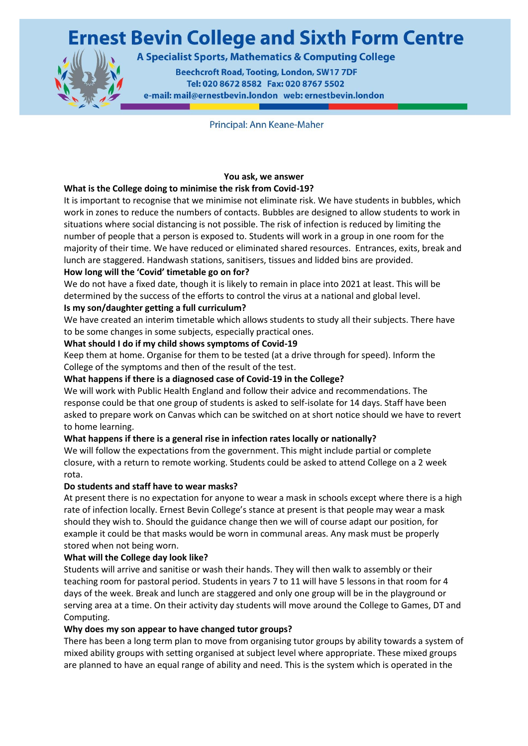

A Specialist Sports, Mathematics & Computing College

**Beechcroft Road, Tooting, London, SW17 7DF** Tel: 020 8672 8582 Fax: 020 8767 5502 e-mail: mail@ernestbevin.london web: ernestbevin.london

Principal: Ann Keane-Maher

### **You ask, we answer**

#### **What is the College doing to minimise the risk from Covid-19?**

It is important to recognise that we minimise not eliminate risk. We have students in bubbles, which work in zones to reduce the numbers of contacts. Bubbles are designed to allow students to work in situations where social distancing is not possible. The risk of infection is reduced by limiting the number of people that a person is exposed to. Students will work in a group in one room for the majority of their time. We have reduced or eliminated shared resources. Entrances, exits, break and lunch are staggered. Handwash stations, sanitisers, tissues and lidded bins are provided.

### **How long will the 'Covid' timetable go on for?**

We do not have a fixed date, though it is likely to remain in place into 2021 at least. This will be determined by the success of the efforts to control the virus at a national and global level.

### **Is my son/daughter getting a full curriculum?**

We have created an interim timetable which allows students to study all their subjects. There have to be some changes in some subjects, especially practical ones.

#### **What should I do if my child shows symptoms of Covid-19**

Keep them at home. Organise for them to be tested (at a drive through for speed). Inform the College of the symptoms and then of the result of the test.

#### **What happens if there is a diagnosed case of Covid-19 in the College?**

We will work with Public Health England and follow their advice and recommendations. The response could be that one group of students is asked to self-isolate for 14 days. Staff have been asked to prepare work on Canvas which can be switched on at short notice should we have to revert to home learning.

#### **What happens if there is a general rise in infection rates locally or nationally?**

We will follow the expectations from the government. This might include partial or complete closure, with a return to remote working. Students could be asked to attend College on a 2 week rota.

#### **Do students and staff have to wear masks?**

At present there is no expectation for anyone to wear a mask in schools except where there is a high rate of infection locally. Ernest Bevin College's stance at present is that people may wear a mask should they wish to. Should the guidance change then we will of course adapt our position, for example it could be that masks would be worn in communal areas. Any mask must be properly stored when not being worn.

#### **What will the College day look like?**

Students will arrive and sanitise or wash their hands. They will then walk to assembly or their teaching room for pastoral period. Students in years 7 to 11 will have 5 lessons in that room for 4 days of the week. Break and lunch are staggered and only one group will be in the playground or serving area at a time. On their activity day students will move around the College to Games, DT and Computing.

#### **Why does my son appear to have changed tutor groups?**

There has been a long term plan to move from organising tutor groups by ability towards a system of mixed ability groups with setting organised at subject level where appropriate. These mixed groups are planned to have an equal range of ability and need. This is the system which is operated in the